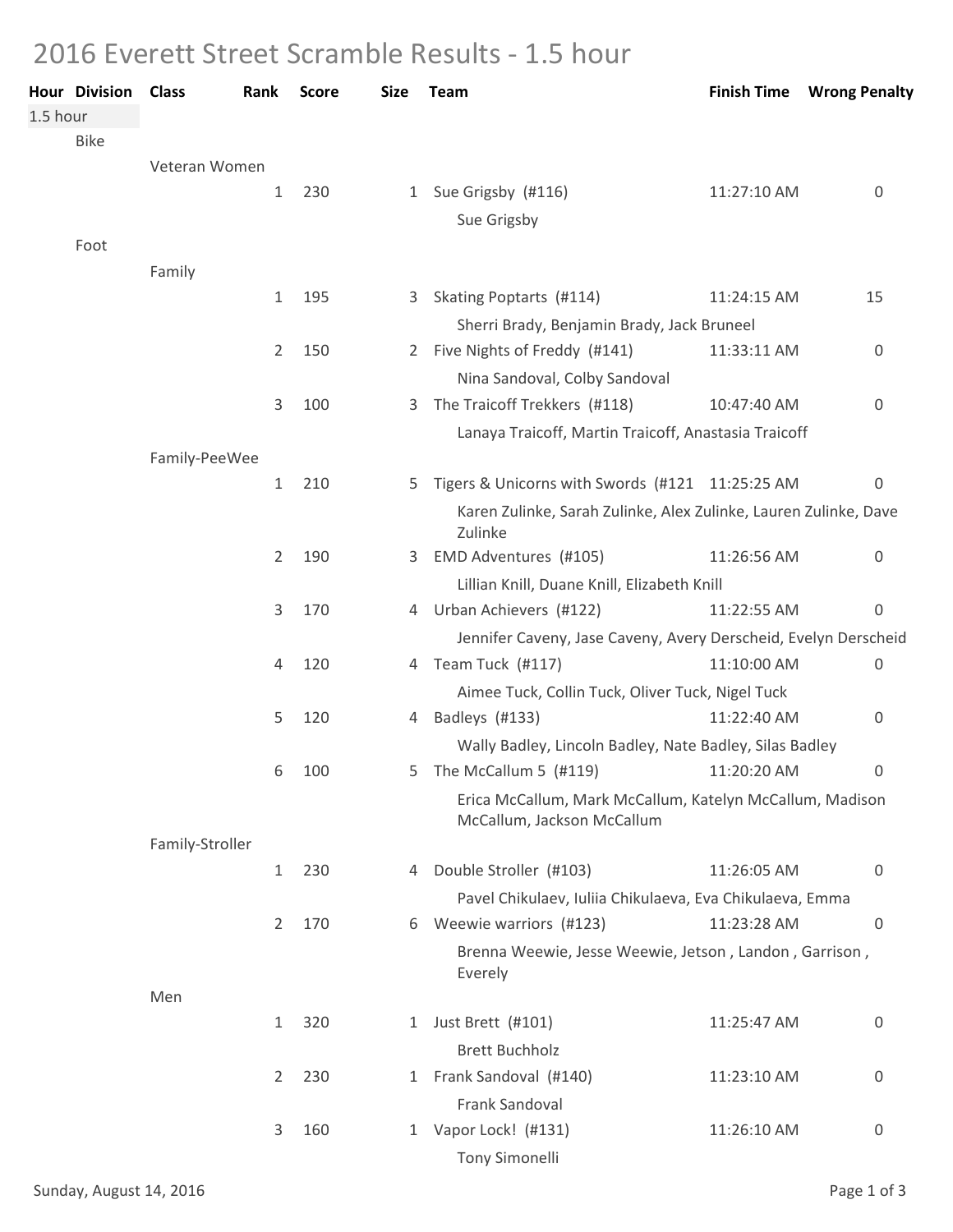## 2016 Everett Street Scramble Results - 1.5 hour

| <b>Hour Division</b> | <b>Class</b>    | Rank           | <b>Score</b> | <b>Size</b>  | <b>Team</b>                                                                            |                                                                  | <b>Finish Time Wrong Penalty</b> |
|----------------------|-----------------|----------------|--------------|--------------|----------------------------------------------------------------------------------------|------------------------------------------------------------------|----------------------------------|
| 1.5 hour             |                 |                |              |              |                                                                                        |                                                                  |                                  |
| <b>Bike</b>          |                 |                |              |              |                                                                                        |                                                                  |                                  |
|                      | Veteran Women   |                |              |              |                                                                                        |                                                                  |                                  |
|                      |                 | $\mathbf{1}$   | 230          |              | 1 Sue Grigsby (#116)                                                                   | 11:27:10 AM                                                      | 0                                |
|                      |                 |                |              |              | Sue Grigsby                                                                            |                                                                  |                                  |
| Foot                 |                 |                |              |              |                                                                                        |                                                                  |                                  |
|                      | Family          |                |              |              |                                                                                        |                                                                  |                                  |
|                      |                 | $\mathbf{1}$   | 195          | 3            | Skating Poptarts (#114)                                                                | 11:24:15 AM                                                      | 15                               |
|                      |                 |                |              |              | Sherri Brady, Benjamin Brady, Jack Bruneel                                             |                                                                  |                                  |
|                      |                 | 2              | 150          | 2            | Five Nights of Freddy (#141)                                                           | 11:33:11 AM                                                      | 0                                |
|                      |                 |                |              |              | Nina Sandoval, Colby Sandoval                                                          |                                                                  |                                  |
|                      |                 | 3              | 100          | 3.           | The Traicoff Trekkers (#118)                                                           | 10:47:40 AM                                                      | 0                                |
|                      |                 |                |              |              | Lanaya Traicoff, Martin Traicoff, Anastasia Traicoff                                   |                                                                  |                                  |
|                      | Family-PeeWee   |                |              |              |                                                                                        |                                                                  |                                  |
|                      |                 | $\mathbf{1}$   | 210          | 5            | Tigers & Unicorns with Swords (#121 11:25:25 AM                                        |                                                                  | 0                                |
|                      |                 |                |              |              | Zulinke                                                                                | Karen Zulinke, Sarah Zulinke, Alex Zulinke, Lauren Zulinke, Dave |                                  |
|                      |                 | $\overline{2}$ | 190          | 3.           | EMD Adventures (#105)                                                                  | 11:26:56 AM                                                      | 0                                |
|                      |                 |                |              |              | Lillian Knill, Duane Knill, Elizabeth Knill                                            |                                                                  |                                  |
|                      |                 | 3              | 170          |              | 4 Urban Achievers (#122)                                                               | 11:22:55 AM                                                      | 0                                |
|                      |                 |                |              |              | Jennifer Caveny, Jase Caveny, Avery Derscheid, Evelyn Derscheid                        |                                                                  |                                  |
|                      |                 | 4              | 120          |              | 4 Team Tuck (#117)                                                                     | 11:10:00 AM                                                      | 0                                |
|                      |                 |                |              |              | Aimee Tuck, Collin Tuck, Oliver Tuck, Nigel Tuck                                       |                                                                  |                                  |
|                      |                 | 5              | 120          | 4            | Badleys (#133)                                                                         | 11:22:40 AM                                                      | 0                                |
|                      |                 |                |              |              | Wally Badley, Lincoln Badley, Nate Badley, Silas Badley                                |                                                                  |                                  |
|                      |                 | 6              | 100          | 5            | The McCallum 5 (#119)                                                                  | 11:20:20 AM                                                      | 0                                |
|                      |                 |                |              |              | Erica McCallum, Mark McCallum, Katelyn McCallum, Madison<br>McCallum, Jackson McCallum |                                                                  |                                  |
|                      | Family-Stroller |                |              |              |                                                                                        |                                                                  |                                  |
|                      |                 | $\mathbf{1}$   | 230          | 4            | Double Stroller (#103)                                                                 | 11:26:05 AM                                                      | 0                                |
|                      |                 |                |              |              | Pavel Chikulaev, Iuliia Chikulaeva, Eva Chikulaeva, Emma                               |                                                                  |                                  |
|                      |                 | $\overline{2}$ | 170          | 6            | Weewie warriors (#123)                                                                 | 11:23:28 AM                                                      | 0                                |
|                      |                 |                |              |              | Brenna Weewie, Jesse Weewie, Jetson, Landon, Garrison,<br>Everely                      |                                                                  |                                  |
|                      | Men             |                |              |              |                                                                                        |                                                                  |                                  |
|                      |                 | $\mathbf{1}$   | 320          | 1            | Just Brett (#101)                                                                      | 11:25:47 AM                                                      | 0                                |
|                      |                 |                |              |              | <b>Brett Buchholz</b>                                                                  |                                                                  |                                  |
|                      |                 | $\overline{2}$ | 230          | 1            | Frank Sandoval (#140)                                                                  | 11:23:10 AM                                                      | 0                                |
|                      |                 |                |              |              | Frank Sandoval                                                                         |                                                                  |                                  |
|                      |                 | 3              | 160          | $\mathbf{1}$ | Vapor Lock! (#131)                                                                     | 11:26:10 AM                                                      | 0                                |
|                      |                 |                |              |              | Tony Simonelli                                                                         |                                                                  |                                  |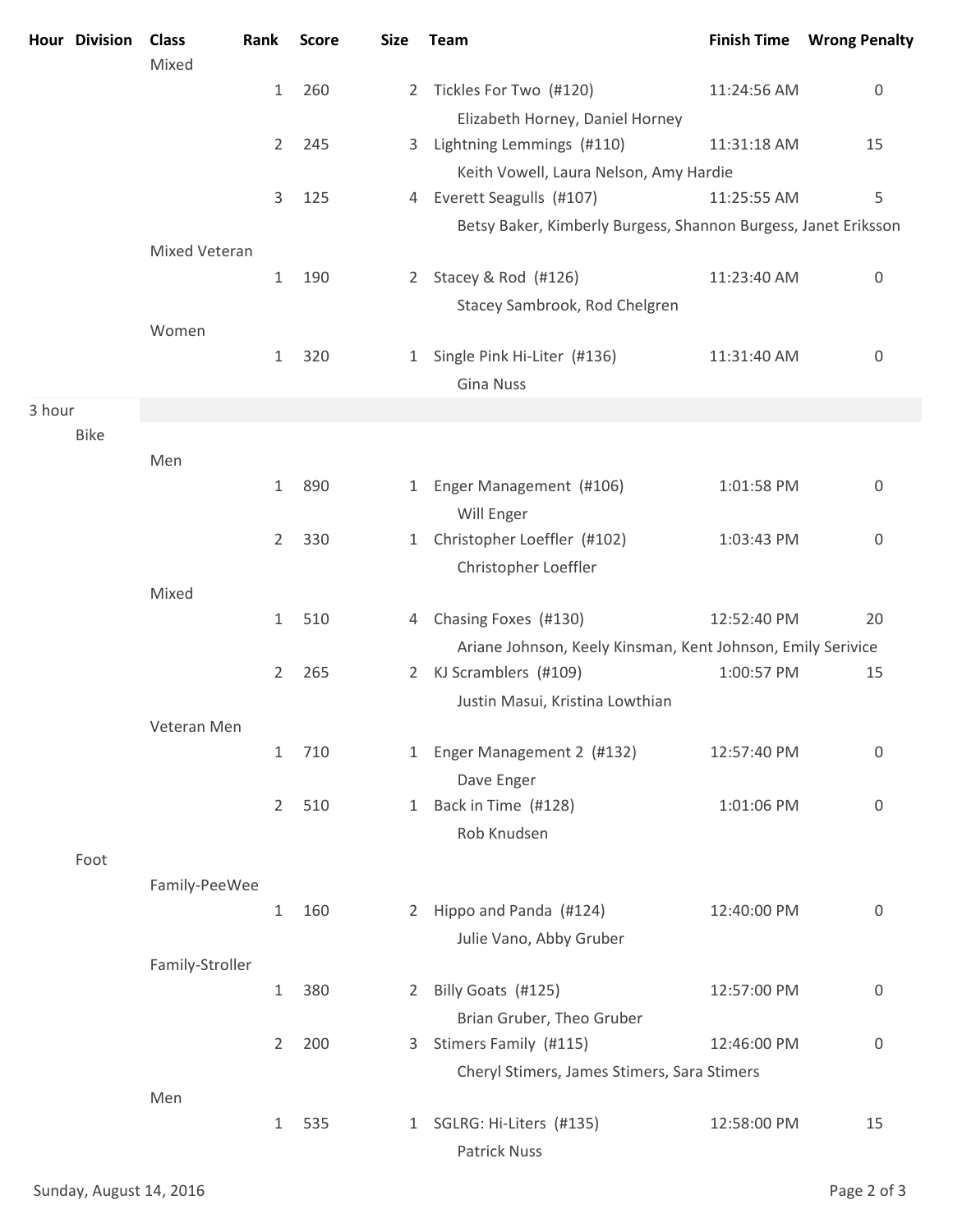|        | Hour Division | <b>Class</b>         | Rank           | <b>Score</b> | <b>Size</b>  | Team                                                           |             | <b>Finish Time Wrong Penalty</b> |
|--------|---------------|----------------------|----------------|--------------|--------------|----------------------------------------------------------------|-------------|----------------------------------|
|        |               | Mixed                | $\mathbf{1}$   | 260          | $\mathbf{2}$ | Tickles For Two (#120)                                         | 11:24:56 AM | 0                                |
|        |               |                      |                |              |              | Elizabeth Horney, Daniel Horney                                |             |                                  |
|        |               |                      | 2              | 245          | 3            | Lightning Lemmings (#110)                                      | 11:31:18 AM | 15                               |
|        |               |                      |                |              |              | Keith Vowell, Laura Nelson, Amy Hardie                         |             |                                  |
|        |               |                      | 3              | 125          |              | 4 Everett Seagulls (#107)                                      | 11:25:55 AM | 5                                |
|        |               |                      |                |              |              | Betsy Baker, Kimberly Burgess, Shannon Burgess, Janet Eriksson |             |                                  |
|        |               | <b>Mixed Veteran</b> |                |              |              |                                                                |             |                                  |
|        |               |                      | $\mathbf{1}$   | 190          | $2 -$        | Stacey & Rod (#126)                                            | 11:23:40 AM | 0                                |
|        |               |                      |                |              |              | Stacey Sambrook, Rod Chelgren                                  |             |                                  |
|        |               | Women                | $\mathbf{1}$   | 320          | $\mathbf{1}$ | Single Pink Hi-Liter (#136)                                    | 11:31:40 AM | 0                                |
|        |               |                      |                |              |              | <b>Gina Nuss</b>                                               |             |                                  |
| 3 hour |               |                      |                |              |              |                                                                |             |                                  |
|        | <b>Bike</b>   |                      |                |              |              |                                                                |             |                                  |
|        |               | Men                  |                |              |              |                                                                |             |                                  |
|        |               |                      | $\mathbf{1}$   | 890          | 1            | Enger Management (#106)<br>Will Enger                          | 1:01:58 PM  | 0                                |
|        |               |                      | $\overline{2}$ | 330          | $\mathbf{1}$ | Christopher Loeffler (#102)<br>Christopher Loeffler            | 1:03:43 PM  | 0                                |
|        |               | Mixed                |                |              |              |                                                                |             |                                  |
|        |               |                      | $\mathbf{1}$   | 510          | 4            | Chasing Foxes (#130)                                           | 12:52:40 PM | 20                               |
|        |               |                      |                |              |              | Ariane Johnson, Keely Kinsman, Kent Johnson, Emily Serivice    |             |                                  |
|        |               |                      | $\overline{2}$ | 265          | $2^{\circ}$  | KJ Scramblers (#109)<br>Justin Masui, Kristina Lowthian        | 1:00:57 PM  | 15                               |
|        |               | Veteran Men          |                |              |              |                                                                |             |                                  |
|        |               |                      | $\mathbf{1}$   | 710          | $\mathbf{1}$ | Enger Management 2 (#132)<br>Dave Enger                        | 12:57:40 PM | 0                                |
|        |               |                      | $\overline{2}$ | 510          |              | 1 Back in Time (#128)<br>Rob Knudsen                           | 1:01:06 PM  | $\mathbf 0$                      |
|        | Foot          |                      |                |              |              |                                                                |             |                                  |
|        |               | Family-PeeWee        |                |              |              |                                                                |             |                                  |
|        |               |                      | $\mathbf{1}$   | 160          |              | 2 Hippo and Panda (#124)                                       | 12:40:00 PM | 0                                |
|        |               |                      |                |              |              | Julie Vano, Abby Gruber                                        |             |                                  |
|        |               | Family-Stroller      |                |              |              |                                                                |             |                                  |
|        |               |                      | $\mathbf{1}$   | 380          | $2^{\circ}$  | Billy Goats (#125)                                             | 12:57:00 PM | $\boldsymbol{0}$                 |
|        |               |                      |                |              |              | Brian Gruber, Theo Gruber                                      |             |                                  |
|        |               |                      | $2^{\circ}$    | 200          | 3            | Stimers Family (#115)                                          | 12:46:00 PM | 0                                |
|        |               | Men                  |                |              |              | Cheryl Stimers, James Stimers, Sara Stimers                    |             |                                  |
|        |               |                      | $\mathbf 1$    | 535          |              | 1 SGLRG: Hi-Liters (#135)<br>Patrick Nuss                      | 12:58:00 PM | 15                               |